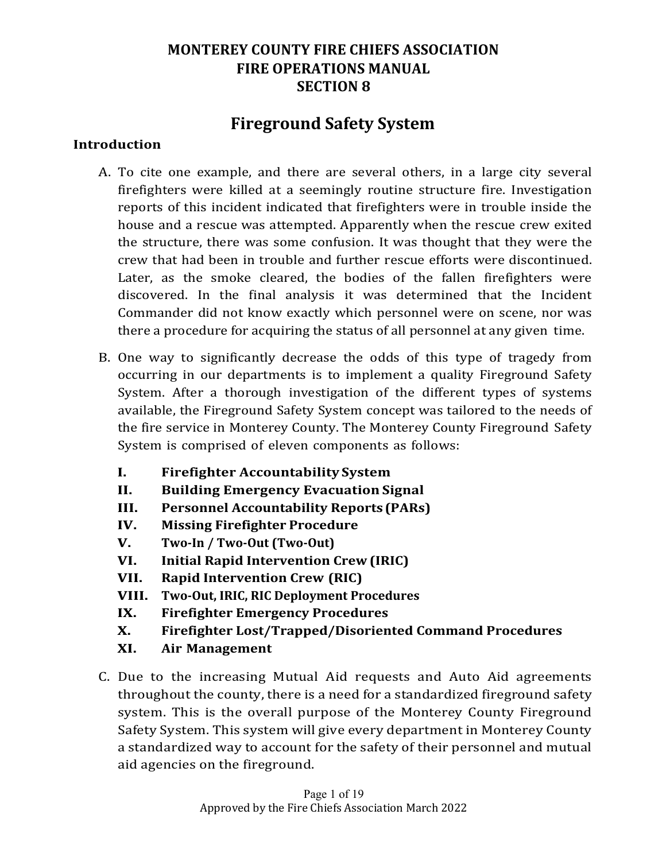# **Fireground Safety System**

#### **Introduction**

- A. To cite one example, and there are several others, in a large city several firefighters were killed at a seemingly routine structure fire. Investigation reports of this incident indicated that firefighters were in trouble inside the house and a rescue was attempted. Apparently when the rescue crew exited the structure, there was some confusion. It was thought that they were the crew that had been in trouble and further rescue efforts were discontinued. Later, as the smoke cleared, the bodies of the fallen firefighters were discovered. In the final analysis it was determined that the Incident Commander did not know exactly which personnel were on scene, nor was there a procedure for acquiring the status of all personnel at any given time.
- B. One way to significantly decrease the odds of this type of tragedy from occurring in our departments is to implement a quality Fireground Safety System. After a thorough investigation of the different types of systems available, the Fireground Safety System concept was tailored to the needs of the fire service in Monterey County. The Monterey County Fireground Safety System is comprised of eleven components as follows:
	- **I. Firefighter Accountability System**
	- **II. Building Emergency Evacuation Signal**
	- **III. Personnel Accountability Reports (PARs)**
	- **IV. Missing Firefighter Procedure**
	- **V. Two-In / Two-Out (Two-Out)**
	- **VI. Initial Rapid Intervention Crew (IRIC)**
	- **VII. Rapid Intervention Crew (RIC)**
	- **VIII.** Two-Out, IRIC, RIC Deployment Procedures
	- **IX. Firefighter Emergency Procedures**
	- **X. Firefighter Lost/Trapped/Disoriented Command Procedures**
	- **XI. Air Management**
- C. Due to the increasing Mutual Aid requests and Auto Aid agreements throughout the county, there is a need for a standardized fireground safety system. This is the overall purpose of the Monterey County Fireground Safety System. This system will give every department in Monterey County a standardized way to account for the safety of their personnel and mutual aid agencies on the fireground.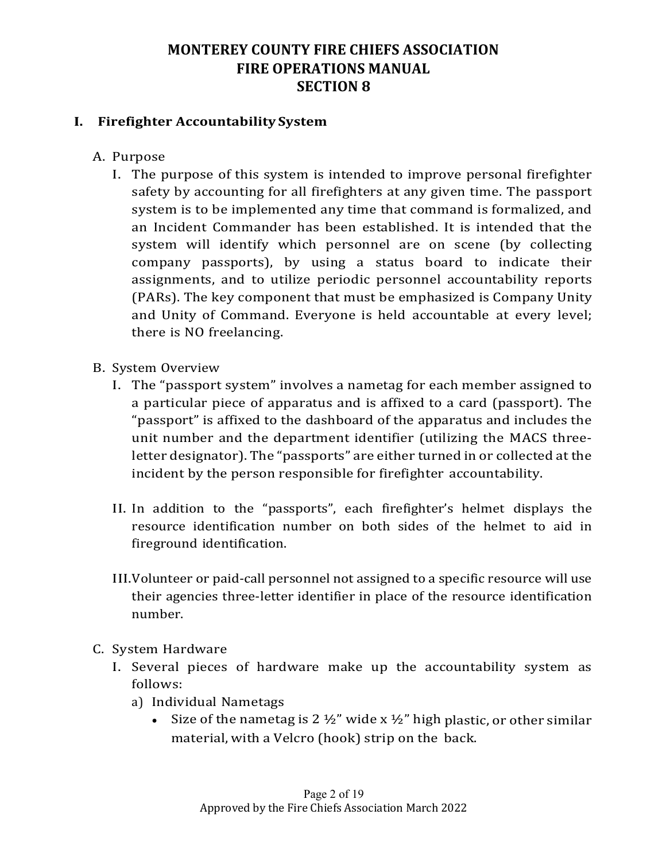#### **I. Firefighter Accountability System**

- A. Purpose
	- I. The purpose of this system is intended to improve personal firefighter safety by accounting for all firefighters at any given time. The passport system is to be implemented any time that command is formalized, and an Incident Commander has been established. It is intended that the system will identify which personnel are on scene (by collecting company passports), by using a status board to indicate their assignments, and to utilize periodic personnel accountability reports (PARs). The key component that must be emphasized is Company Unity and Unity of Command. Everyone is held accountable at every level; there is NO freelancing.
- B. System Overview
	- I. The "passport system" involves a nametag for each member assigned to a particular piece of apparatus and is affixed to a card (passport). The "passport" is affixed to the dashboard of the apparatus and includes the unit number and the department identifier (utilizing the MACS threeletter designator). The "passports" are either turned in or collected at the incident by the person responsible for firefighter accountability.
	- II. In addition to the "passports", each firefighter's helmet displays the resource identification number on both sides of the helmet to aid in fireground identification.
	- III. Volunteer or paid-call personnel not assigned to a specific resource will use their agencies three-letter identifier in place of the resource identification number.
- C. System Hardware
	- I. Several pieces of hardware make up the accountability system as follows:
		- a) Individual Nametags
			- Size of the nametag is 2  $\frac{1}{2}$ " wide x  $\frac{1}{2}$ " high plastic, or other similar material, with a Velcro (hook) strip on the back.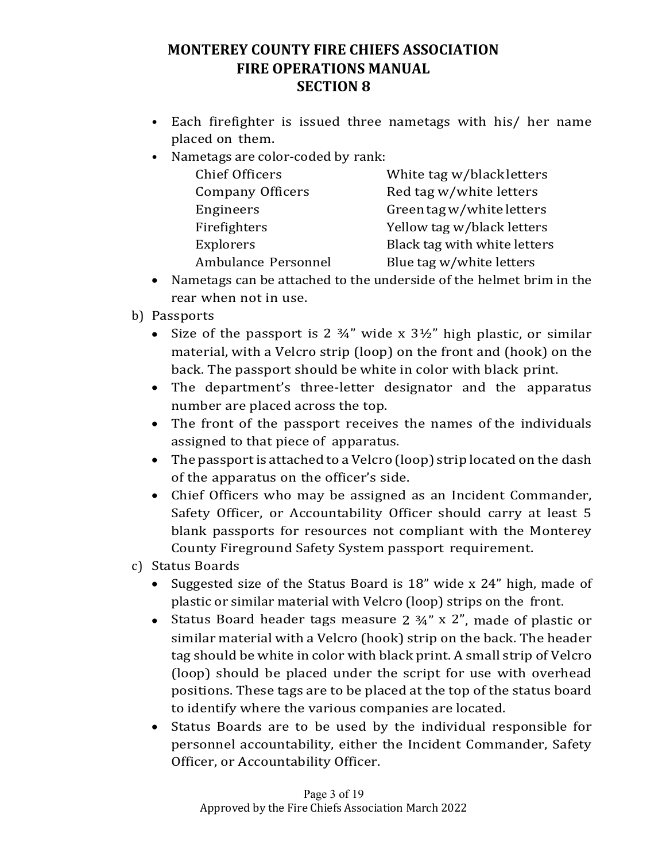- Each firefighter is issued three nametags with his/ her name placed on them.
- Nametags are color-coded by rank:

| <b>Chief Officers</b>   | White tag w/black letters    |
|-------------------------|------------------------------|
| <b>Company Officers</b> | Red tag w/white letters      |
| Engineers               | Green tag w/white letters    |
| Firefighters            | Yellow tag w/black letters   |
| Explorers               | Black tag with white letters |
| Ambulance Personnel     | Blue tag w/white letters     |

- Nametags can be attached to the underside of the helmet brim in the rear when not in use.
- b) Passports
	- Size of the passport is 2  $\frac{3}{4}$ " wide x  $\frac{3\frac{1}{2}}{2}$ " high plastic, or similar material, with a Velcro strip (loop) on the front and (hook) on the back. The passport should be white in color with black print.
	- The department's three-letter designator and the apparatus number are placed across the top.
	- The front of the passport receives the names of the individuals assigned to that piece of apparatus.
	- The passport is attached to a Velcro (loop) strip located on the dash of the apparatus on the officer's side.
	- Chief Officers who may be assigned as an Incident Commander, Safety Officer, or Accountability Officer should carry at least 5 blank passports for resources not compliant with the Monterey County Fireground Safety System passport requirement.
- c) Status Boards
	- Suggested size of the Status Board is 18" wide x 24" high, made of plastic or similar material with Velcro (loop) strips on the front.
	- Status Board header tags measure  $2 \frac{3}{4}$ " x 2", made of plastic or similar material with a Velcro (hook) strip on the back. The header tag should be white in color with black print. A small strip of Velcro (loop) should be placed under the script for use with overhead positions. These tags are to be placed at the top of the status board to identify where the various companies are located.
	- Status Boards are to be used by the individual responsible for personnel accountability, either the Incident Commander, Safety Officer, or Accountability Officer.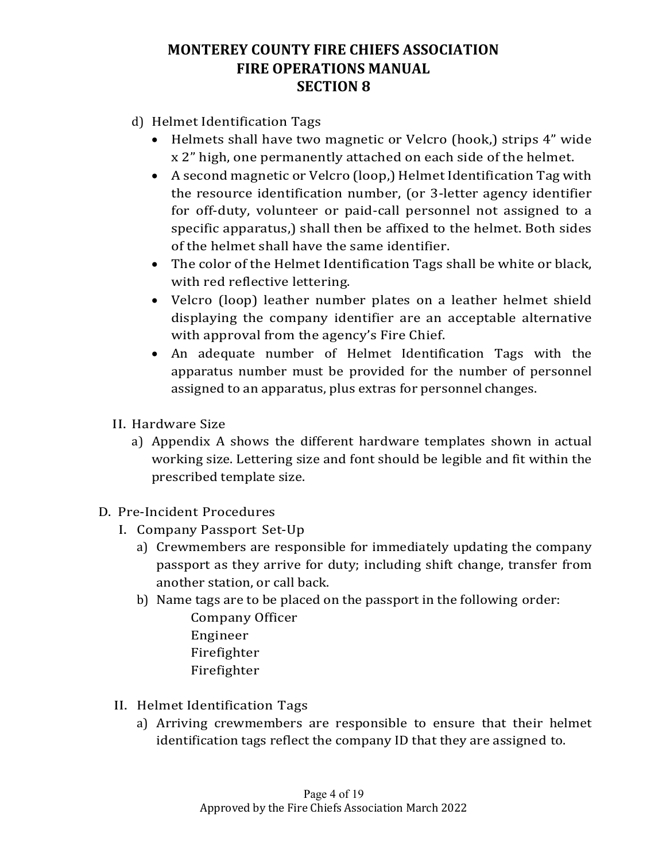- d) Helmet Identification Tags
	- Helmets shall have two magnetic or Velcro (hook,) strips 4" wide x 2" high, one permanently attached on each side of the helmet.
	- A second magnetic or Velcro (loop,) Helmet Identification Tag with the resource identification number, (or 3-letter agency identifier for off-duty, volunteer or paid-call personnel not assigned to a specific apparatus,) shall then be affixed to the helmet. Both sides of the helmet shall have the same identifier.
	- The color of the Helmet Identification Tags shall be white or black, with red reflective lettering.
	- Velcro (loop) leather number plates on a leather helmet shield displaying the company identifier are an acceptable alternative with approval from the agency's Fire Chief.
	- An adequate number of Helmet Identification Tags with the apparatus number must be provided for the number of personnel assigned to an apparatus, plus extras for personnel changes.
- II. Hardware Size
	- a) Appendix A shows the different hardware templates shown in actual working size. Lettering size and font should be legible and fit within the prescribed template size.
- D. Pre-Incident Procedures
	- I. Company Passport Set-Up
		- a) Crewmembers are responsible for immediately updating the company passport as they arrive for duty; including shift change, transfer from another station, or call back.
		- b) Name tags are to be placed on the passport in the following order: Company Officer Engineer
			- Firefighter
			- Firefighter
	- II. Helmet Identification Tags
		- a) Arriving crewmembers are responsible to ensure that their helmet identification tags reflect the company ID that they are assigned to.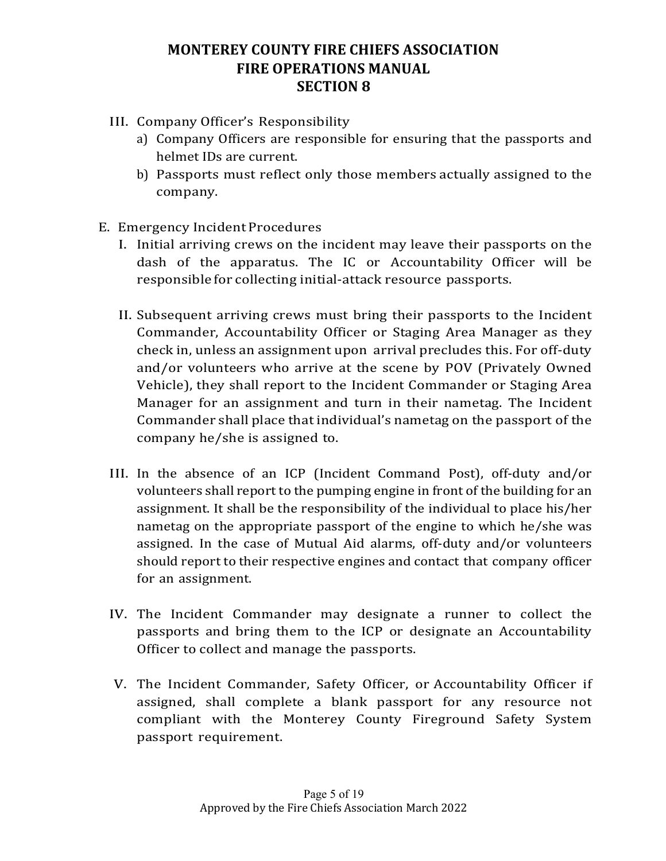- III. Company Officer's Responsibility
	- a) Company Officers are responsible for ensuring that the passports and helmet IDs are current.
	- b) Passports must reflect only those members actually assigned to the company.
- E. Emergency Incident Procedures
	- I. Initial arriving crews on the incident may leave their passports on the dash of the apparatus. The IC or Accountability Officer will be responsible for collecting initial-attack resource passports.
	- II. Subsequent arriving crews must bring their passports to the Incident Commander, Accountability Officer or Staging Area Manager as they check in, unless an assignment upon arrival precludes this. For off-duty and/or volunteers who arrive at the scene by POV (Privately Owned Vehicle), they shall report to the Incident Commander or Staging Area Manager for an assignment and turn in their nametag. The Incident Commander shall place that individual's nametag on the passport of the company he/she is assigned to.
	- III. In the absence of an ICP (Incident Command Post), off-duty and/or volunteers shall report to the pumping engine in front of the building for an assignment. It shall be the responsibility of the individual to place his/her nametag on the appropriate passport of the engine to which he/she was assigned. In the case of Mutual Aid alarms, off-duty and/or volunteers should report to their respective engines and contact that company officer for an assignment.
	- IV. The Incident Commander may designate a runner to collect the passports and bring them to the ICP or designate an Accountability Officer to collect and manage the passports.
	- V. The Incident Commander, Safety Officer, or Accountability Officer if assigned, shall complete a blank passport for any resource not compliant with the Monterey County Fireground Safety System passport requirement.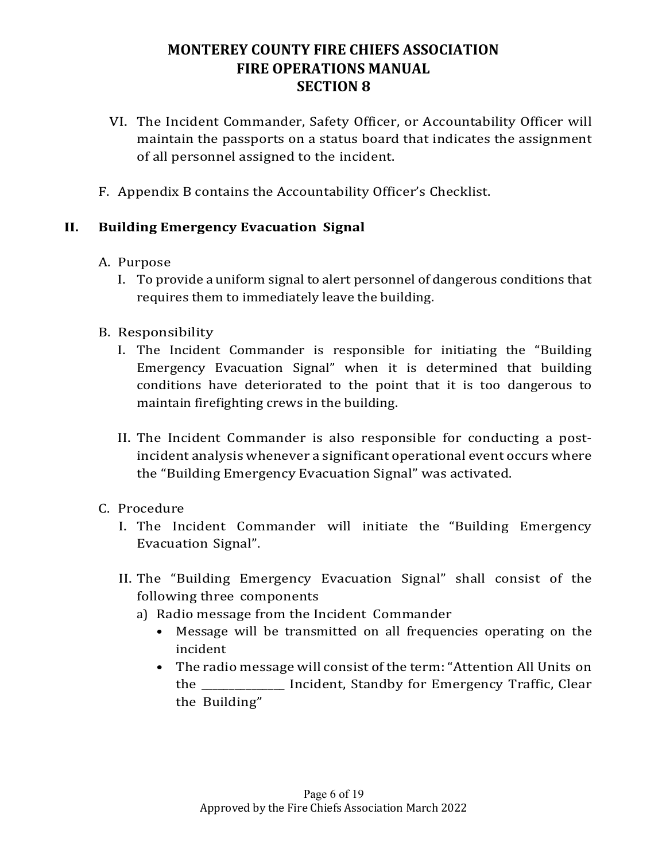- VI. The Incident Commander, Safety Officer, or Accountability Officer will maintain the passports on a status board that indicates the assignment of all personnel assigned to the incident.
- F. Appendix B contains the Accountability Officer's Checklist.

#### **II. Building Emergency Evacuation Signal**

- A. Purpose
	- I. To provide a uniform signal to alert personnel of dangerous conditions that requires them to immediately leave the building.
- B. Responsibility
	- I. The Incident Commander is responsible for initiating the "Building" Emergency Evacuation Signal" when it is determined that building conditions have deteriorated to the point that it is too dangerous to maintain firefighting crews in the building.
	- II. The Incident Commander is also responsible for conducting a postincident analysis whenever a significant operational event occurs where the "Building Emergency Evacuation Signal" was activated.
- C. Procedure
	- I. The Incident Commander will initiate the "Building Emergency Evacuation Signal".
	- II. The "Building Emergency Evacuation Signal" shall consist of the following three components
		- a) Radio message from the Incident Commander
			- Message will be transmitted on all frequencies operating on the incident
			- The radio message will consist of the term: "Attention All Units on the \_\_\_\_\_\_\_\_\_\_\_\_\_\_ Incident, Standby for Emergency Traffic, Clear the Building"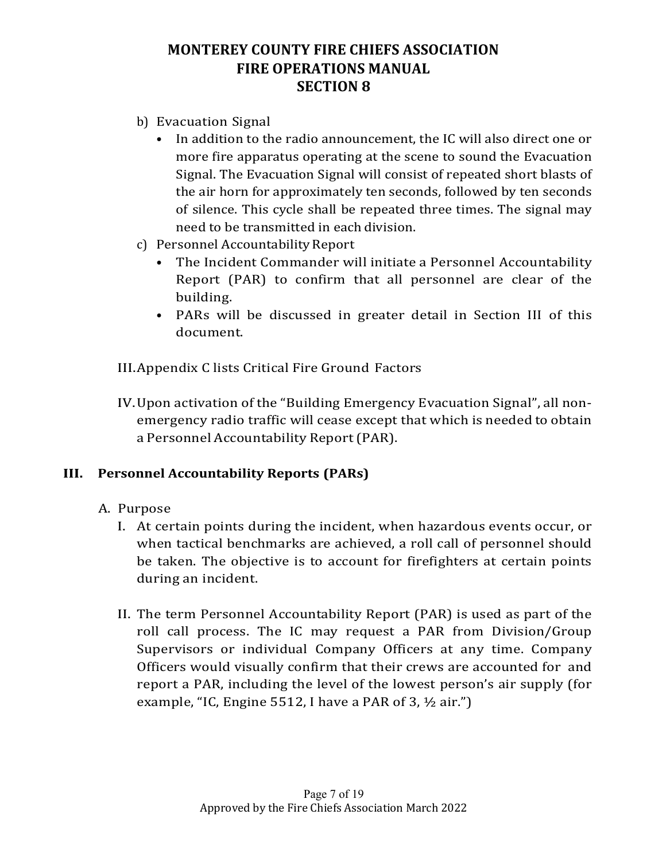- b) Evacuation Signal
	- In addition to the radio announcement, the IC will also direct one or more fire apparatus operating at the scene to sound the Evacuation Signal. The Evacuation Signal will consist of repeated short blasts of the air horn for approximately ten seconds, followed by ten seconds of silence. This cycle shall be repeated three times. The signal may need to be transmitted in each division.
- c) Personnel Accountability Report
	- The Incident Commander will initiate a Personnel Accountability Report (PAR) to confirm that all personnel are clear of the building.
	- PARs will be discussed in greater detail in Section III of this document.

III. Appendix C lists Critical Fire Ground Factors

IV. Upon activation of the "Building Emergency Evacuation Signal", all nonemergency radio traffic will cease except that which is needed to obtain a Personnel Accountability Report(PAR).

#### **III. Personnel Accountability Reports (PARs)**

- A. Purpose
	- I. At certain points during the incident, when hazardous events occur, or when tactical benchmarks are achieved, a roll call of personnel should be taken. The objective is to account for firefighters at certain points during an incident.
	- II. The term Personnel Accountability Report (PAR) is used as part of the roll call process. The IC may request a PAR from Division/Group Supervisors or individual Company Officers at any time. Company Officers would visually confirm that their crews are accounted for and report a PAR, including the level of the lowest person's air supply (for example, "IC, Engine  $5512$ , I have a PAR of 3,  $\frac{1}{2}$  air.")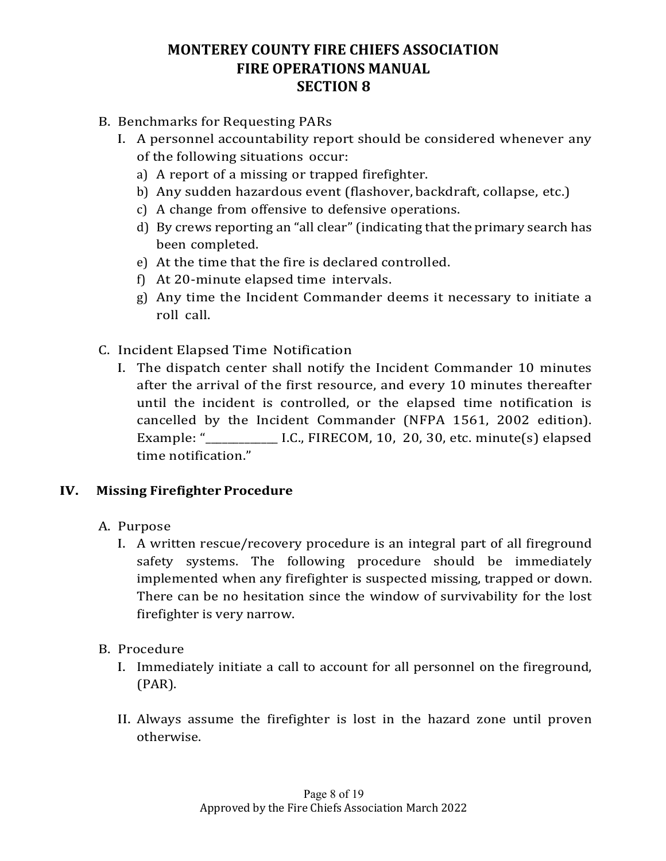- B. Benchmarks for Requesting PARs
	- I. A personnel accountability report should be considered whenever any of the following situations occur:
		- a) A report of a missing or trapped firefighter.
		- b) Any sudden hazardous event (flashover, backdraft, collapse, etc.)
		- c) A change from offensive to defensive operations.
		- d) By crews reporting an "all clear" (indicating that the primary search has been completed.
		- e) At the time that the fire is declared controlled.
		- f) At  $20$ -minute elapsed time intervals.
		- g) Any time the Incident Commander deems it necessary to initiate a roll call.
- C. Incident Elapsed Time Notification
	- I. The dispatch center shall notify the Incident Commander 10 minutes after the arrival of the first resource, and every 10 minutes thereafter until the incident is controlled, or the elapsed time notification is cancelled by the Incident Commander (NFPA 1561, 2002 edition). Example: "\_\_\_\_\_\_\_\_\_\_\_\_\_ I.C., FIRECOM, 10, 20, 30, etc. minute(s) elapsed time notification."

#### **IV. Missing Firefighter Procedure**

- A. Purpose
	- I. A written rescue/recovery procedure is an integral part of all fireground safety systems. The following procedure should be immediately implemented when any firefighter is suspected missing, trapped or down. There can be no hesitation since the window of survivability for the lost firefighter is very narrow.
- B. Procedure
	- I. Immediately initiate a call to account for all personnel on the fireground, (PAR).
	- II. Always assume the firefighter is lost in the hazard zone until proven otherwise.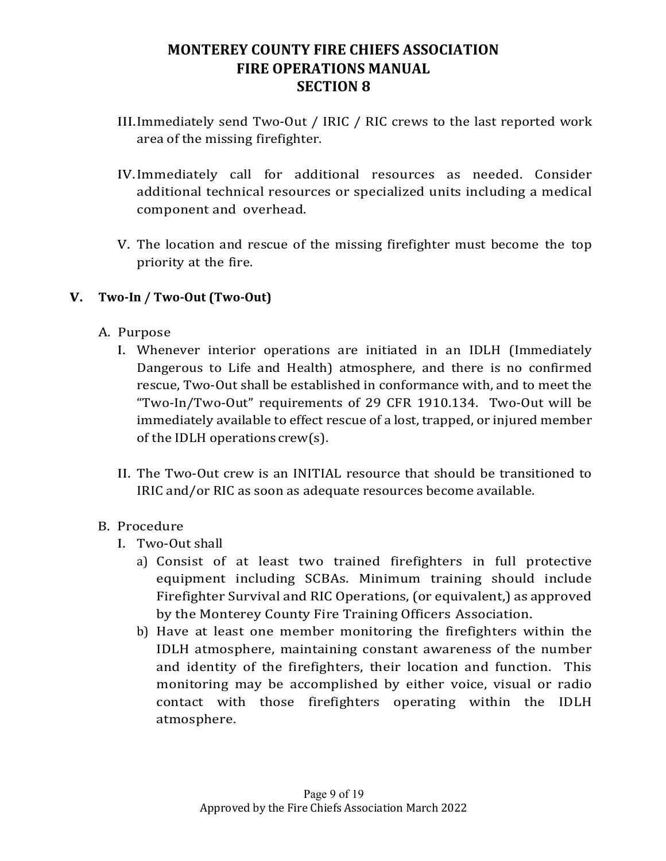- III.Immediately send Two-Out / IRIC / RIC crews to the last reported work area of the missing firefighter.
- IV.Immediately call for additional resources as needed. Consider additional technical resources or specialized units including a medical component and overhead.
- V. The location and rescue of the missing firefighter must become the top priority at the fire.

#### **V. Two-In / Two-Out (Two-Out)**

- A. Purpose
	- I. Whenever interior operations are initiated in an IDLH (Immediately Dangerous to Life and Health) atmosphere, and there is no confirmed rescue, Two-Out shall be established in conformance with, and to meet the "Two-In/Two-Out" requirements of 29 CFR 1910.134. Two-Out will be immediately available to effect rescue of a lost, trapped, or injured member of the IDLH operations crew(s).
	- II. The Two-Out crew is an INITIAL resource that should be transitioned to IRIC and/or RIC as soon as adequate resources become available.

#### B. Procedure

- I. Two-Out shall
	- a) Consist of at least two trained firefighters in full protective equipment including SCBAs. Minimum training should include Firefighter Survival and RIC Operations, (or equivalent,) as approved by the Monterey County Fire Training Officers Association.
	- b) Have at least one member monitoring the firefighters within the IDLH atmosphere, maintaining constant awareness of the number and identity of the firefighters, their location and function. This monitoring may be accomplished by either voice, visual or radio contact with those firefighters operating within the IDLH atmosphere.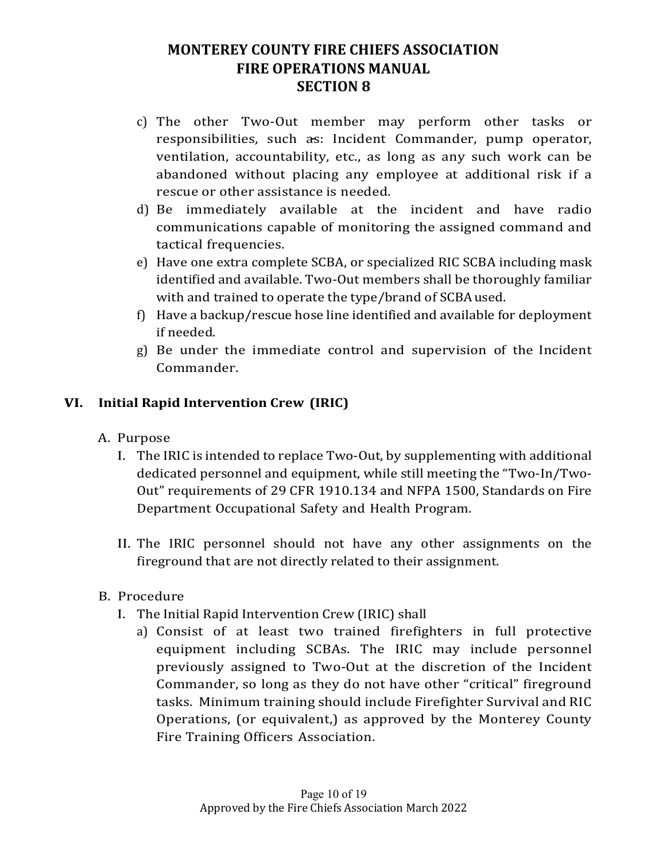- c) The other Two-Out member may perform other tasks or responsibilities, such as: Incident Commander, pump operator, ventilation, accountability, etc., as long as any such work can be abandoned without placing any employee at additional risk if a rescue or other assistance is needed.
- d) Be immediately available at the incident and have radio communications capable of monitoring the assigned command and tactical frequencies.
- e) Have one extra complete SCBA, or specialized RIC SCBA including mask identified and available. Two-Out members shall be thoroughly familiar with and trained to operate the type/brand of SCBA used.
- f) Have a backup/rescue hose line identified and available for deployment if needed.
- g) Be under the immediate control and supervision of the Incident Commander.

# **VI. Initial Rapid Intervention Crew (IRIC)**

- A. Purpose
	- I. The IRIC is intended to replace Two-Out, by supplementing with additional dedicated personnel and equipment, while still meeting the "Two-In/Two-Out" requirements of 29 CFR 1910.134 and NFPA 1500, Standards on Fire Department Occupational Safety and Health Program.
	- II. The IRIC personnel should not have any other assignments on the fireground that are not directly related to their assignment.
- B. Procedure
	- I. The Initial Rapid Intervention Crew (IRIC) shall
		- a) Consist of at least two trained firefighters in full protective equipment including SCBAs. The IRIC may include personnel previously assigned to Two-Out at the discretion of the Incident Commander, so long as they do not have other "critical" fireground tasks. Minimum training should include Firefighter Survival and RIC Operations, (or equivalent,) as approved by the Monterey County Fire Training Officers Association.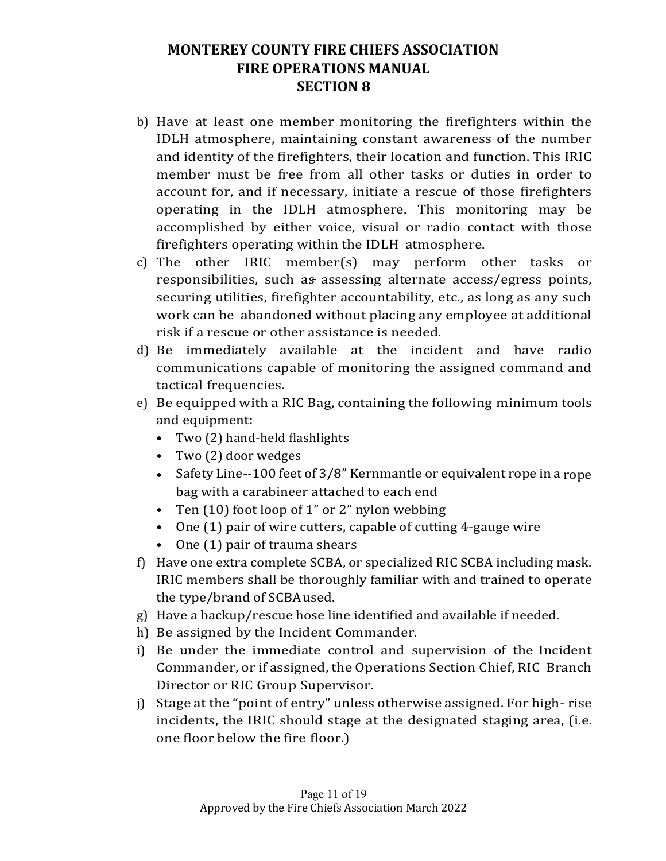- b) Have at least one member monitoring the firefighters within the IDLH atmosphere, maintaining constant awareness of the number and identity of the firefighters, their location and function. This IRIC member must be free from all other tasks or duties in order to account for, and if necessary, initiate a rescue of those firefighters operating in the IDLH atmosphere. This monitoring may be accomplished by either voice, visual or radio contact with those firefighters operating within the IDLH atmosphere.
- c) The other IRIC member(s) may perform other tasks or responsibilities, such as assessing alternate access/egress points, securing utilities, firefighter accountability, etc., as long as any such work can be abandoned without placing any employee at additional risk if a rescue or other assistance is needed.
- d) Be immediately available at the incident and have radio communications capable of monitoring the assigned command and tactical frequencies.
- e) Be equipped with a RIC Bag, containing the following minimum tools and equipment:
	- Two (2) hand-held flashlights
	- Two (2) door wedges
	- Safety Line--100 feet of  $3/8$ " Kernmantle or equivalent rope in a rope bag with a carabineer attached to each end
	- Ten  $(10)$  foot loop of 1" or 2" nylon webbing
	- One  $(1)$  pair of wire cutters, capable of cutting 4-gauge wire
	- $\bullet$  One  $(1)$  pair of trauma shears
- f) Have one extra complete SCBA, or specialized RIC SCBA including mask. IRIC members shall be thoroughly familiar with and trained to operate the type/brand of SCBAused.
- g) Have a backup/rescue hose line identified and available if needed.
- h) Be assigned by the Incident Commander.
- i) Be under the immediate control and supervision of the Incident Commander, or if assigned, the Operations Section Chief, RIC Branch Director or RIC Group Supervisor.
- $j$ ) Stage at the "point of entry" unless otherwise assigned. For high-rise incidents, the IRIC should stage at the designated staging area, (i.e. one floor below the fire floor.)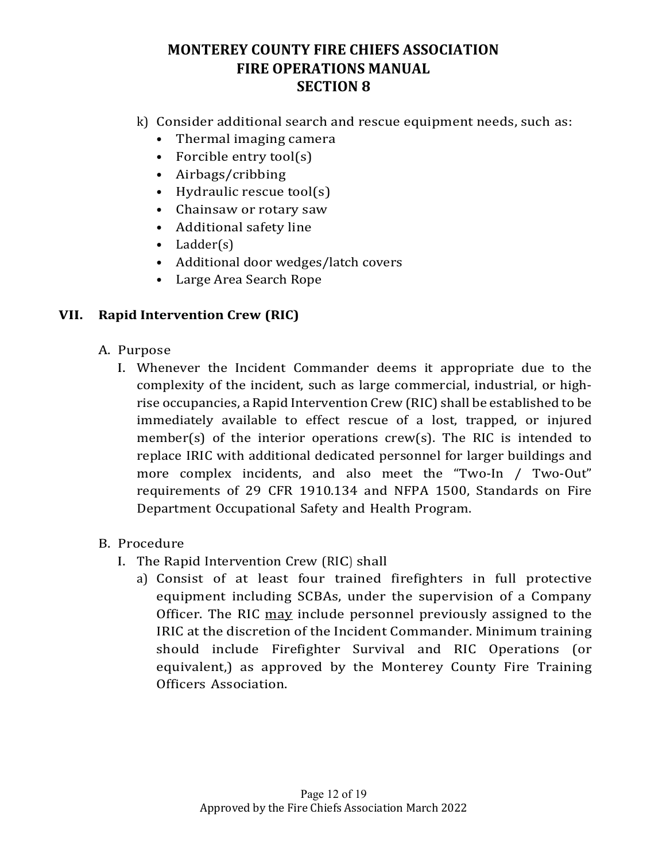- k) Consider additional search and rescue equipment needs, such as:
	- Thermal imaging camera
	- Forcible entry  $\text{tool}(s)$
	- Airbags/cribbing
	- Hydraulic rescue  $\text{tool}(s)$
	- Chainsaw or rotary saw
	- Additional safety line
	- Ladder(s)
	- Additional door wedges/latch covers
	- Large Area Search Rope

#### **VII. Rapid Intervention Crew (RIC)**

- A. Purpose
	- I. Whenever the Incident Commander deems it appropriate due to the complexity of the incident, such as large commercial, industrial, or highrise occupancies, a Rapid Intervention Crew (RIC) shall be established to be immediately available to effect rescue of a lost, trapped, or injured member(s) of the interior operations  $crew(s)$ . The RIC is intended to replace IRIC with additional dedicated personnel for larger buildings and more complex incidents, and also meet the "Two-In / Two-Out" requirements of 29 CFR 1910.134 and NFPA 1500, Standards on Fire Department Occupational Safety and Health Program.

#### B. Procedure

- I. The Rapid Intervention Crew (RIC) shall
	- a) Consist of at least four trained firefighters in full protective equipment including SCBAs, under the supervision of a Company Officer. The RIC may include personnel previously assigned to the IRIC at the discretion of the Incident Commander. Minimum training should include Firefighter Survival and RIC Operations (or equivalent,) as approved by the Monterey County Fire Training Officers Association.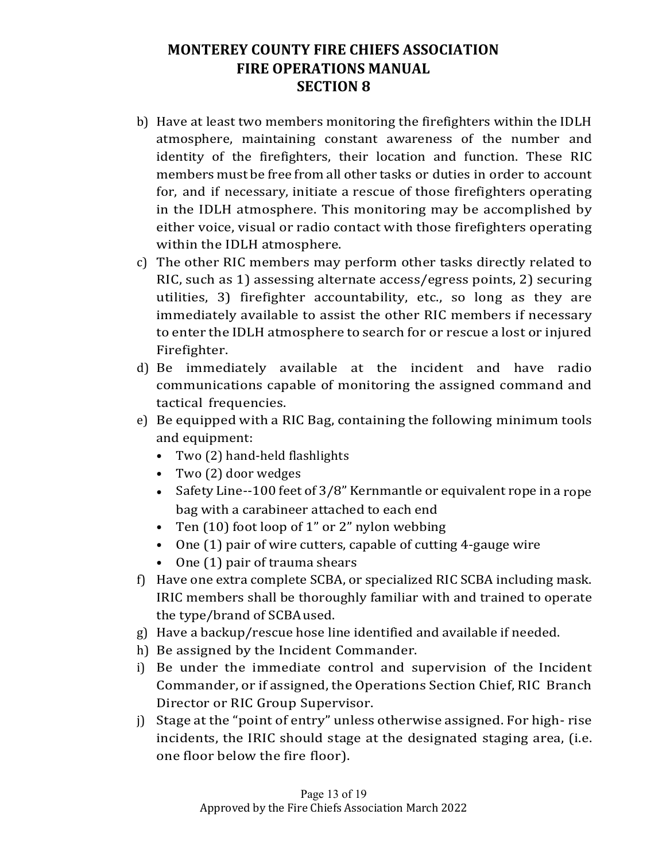- b) Have at least two members monitoring the firefighters within the IDLH atmosphere, maintaining constant awareness of the number and identity of the firefighters, their location and function. These RIC members must be free from all other tasks or duties in order to account for, and if necessary, initiate a rescue of those firefighters operating in the IDLH atmosphere. This monitoring may be accomplished by either voice, visual or radio contact with those firefighters operating within the IDLH atmosphere.
- c) The other RIC members may perform other tasks directly related to RIC, such as 1) assessing alternate access/egress points, 2) securing utilities, 3) firefighter accountability, etc., so long as they are immediately available to assist the other RIC members if necessary to enter the IDLH atmosphere to search for or rescue a lost or injured Firefighter.
- d) Be immediately available at the incident and have radio communications capable of monitoring the assigned command and tactical frequencies.
- e) Be equipped with a RIC Bag, containing the following minimum tools and equipment:
	- Two (2) hand-held flashlights
	- Two (2) door wedges
	- Safety Line--100 feet of  $3/8$ " Kernmantle or equivalent rope in a rope bag with a carabineer attached to each end
	- Ten  $(10)$  foot loop of 1" or 2" nylon webbing
	- One  $(1)$  pair of wire cutters, capable of cutting 4-gauge wire
	- $\bullet$  One  $(1)$  pair of trauma shears
- f) Have one extra complete SCBA, or specialized RIC SCBA including mask. IRIC members shall be thoroughly familiar with and trained to operate the type/brand of SCBAused.
- g) Have a backup/rescue hose line identified and available if needed.
- h) Be assigned by the Incident Commander.
- i) Be under the immediate control and supervision of the Incident Commander, or if assigned, the Operations Section Chief, RIC Branch Director or RIC Group Supervisor.
- j) Stage at the "point of entry" unless otherwise assigned. For high-rise incidents, the IRIC should stage at the designated staging area, (i.e. one floor below the fire floor).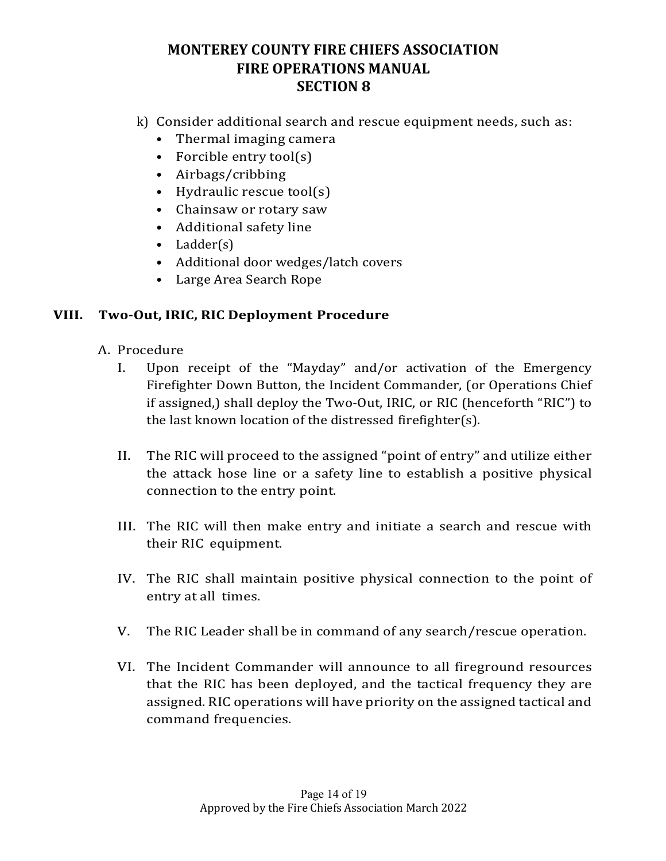- k) Consider additional search and rescue equipment needs, such as:
	- Thermal imaging camera
	- Forcible entry  $\text{tool}(s)$
	- Airbags/cribbing
	- Hydraulic rescue  $\text{tool}(s)$
	- Chainsaw or rotary saw
	- Additional safety line
	- Ladder(s)
	- Additional door wedges/latch covers
	- Large Area Search Rope

#### **VIII. Two-Out, IRIC, RIC Deployment Procedure**

- A. Procedure
	- I. Upon receipt of the "Mayday" and/or activation of the Emergency Firefighter Down Button, the Incident Commander, (or Operations Chief if assigned,) shall deploy the Two-Out, IRIC, or RIC (henceforth "RIC") to the last known location of the distressed firefighter(s).
	- II. The RIC will proceed to the assigned "point of entry" and utilize either the attack hose line or a safety line to establish a positive physical connection to the entry point.
	- III. The RIC will then make entry and initiate a search and rescue with their RIC equipment.
	- IV. The RIC shall maintain positive physical connection to the point of entry at all times.
	- V. The RIC Leader shall be in command of any search/rescue operation.
	- VI. The Incident Commander will announce to all fireground resources that the RIC has been deployed, and the tactical frequency they are assigned. RIC operations will have priority on the assigned tactical and command frequencies.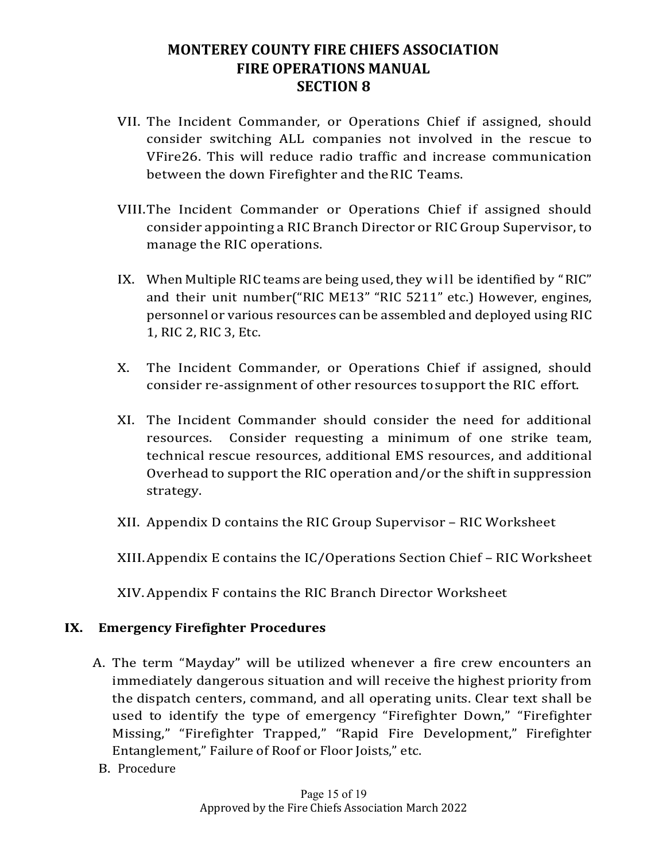- VII. The Incident Commander, or Operations Chief if assigned, should consider switching ALL companies not involved in the rescue to VFire26. This will reduce radio traffic and increase communication between the down Firefighter and the RIC Teams.
- VIII. The Incident Commander or Operations Chief if assigned should consider appointing a RIC Branch Director or RIC Group Supervisor, to manage the RIC operations.
- IX. When Multiple RIC teams are being used, they will be identified by "RIC" and their unit number("RIC ME13" "RIC 5211" etc.) However, engines, personnel or various resources can be assembled and deployed using RIC 1, RIC 2, RIC 3, Etc.
- X. The Incident Commander, or Operations Chief if assigned, should consider re-assignment of other resources to support the RIC effort.
- XI. The Incident Commander should consider the need for additional resources. Consider requesting a minimum of one strike team, technical rescue resources, additional EMS resources, and additional Overhead to support the RIC operation and/or the shift in suppression strategy.
- XII. Appendix D contains the RIC Group Supervisor RIC Worksheet

XIII. Appendix E contains the IC/Operations Section Chief - RIC Worksheet

XIV.Appendix F contains the RIC Branch Director Worksheet

#### **IX. Emergency Firefighter Procedures**

- A. The term "Mayday" will be utilized whenever a fire crew encounters an immediately dangerous situation and will receive the highest priority from the dispatch centers, command, and all operating units. Clear text shall be used to identify the type of emergency "Firefighter Down," "Firefighter Missing," "Firefighter Trapped," "Rapid Fire Development," Firefighter Entanglement," Failure of Roof or Floor Joists," etc.
- B. Procedure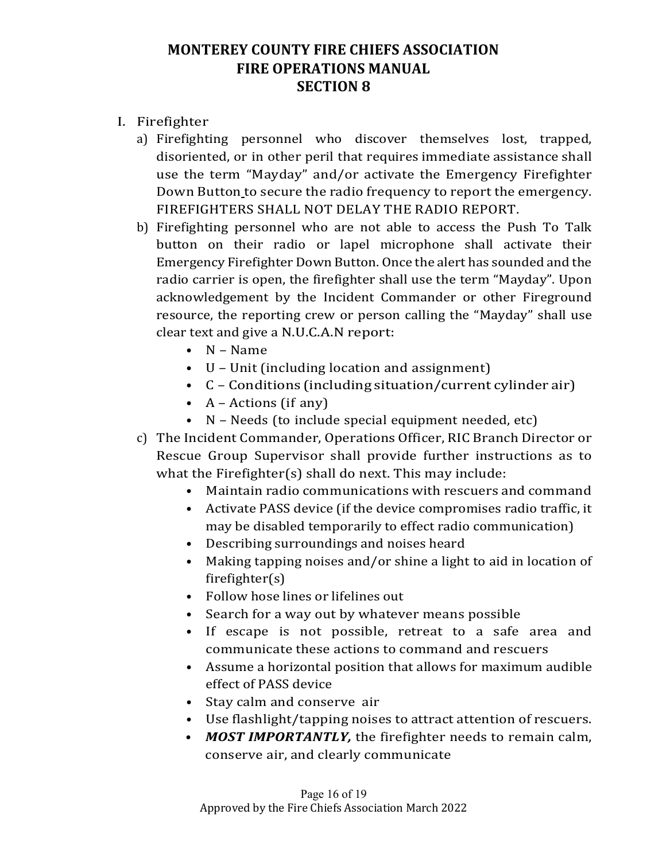- I. Firefighter
	- a) Firefighting personnel who discover themselves lost, trapped, disoriented, or in other peril that requires immediate assistance shall use the term "Mayday" and/or activate the Emergency Firefighter Down Button to secure the radio frequency to report the emergency. FIREFIGHTERS SHALL NOT DELAY THE RADIO REPORT.
	- b) Firefighting personnel who are not able to access the Push To Talk button on their radio or lapel microphone shall activate their Emergency Firefighter Down Button. Once the alert has sounded and the radio carrier is open, the firefighter shall use the term "Mayday". Upon acknowledgement by the Incident Commander or other Fireground resource, the reporting crew or person calling the "Mayday" shall use clear text and give a N.U.C.A.N report:
		- N Name
		- $\bullet$  U Unit (including location and assignment)
		- $\bullet$  C Conditions (including situation/current cylinder air)
		- $A -$  Actions (if any)
		- $N Needs$  (to include special equipment needed, etc)
	- c) The Incident Commander, Operations Officer, RIC Branch Director or Rescue Group Supervisor shall provide further instructions as to what the Firefighter(s) shall do next. This may include:
		- Maintain radio communications with rescuers and command
		- Activate PASS device (if the device compromises radio traffic, it may be disabled temporarily to effect radio communication)
		- Describing surroundings and noises heard
		- Making tapping noises and/or shine a light to aid in location of firefighter(s)
		- Follow hose lines or lifelines out
		- Search for a way out by whatever means possible
		- If escape is not possible, retreat to a safe area and communicate these actions to command and rescuers
		- Assume a horizontal position that allows for maximum audible effect of PASS device
		- Stay calm and conserve air
		- Use flashlight/tapping noises to attract attention of rescuers.
		- *MOST IMPORTANTLY,* the firefighter needs to remain calm, conserve air, and clearly communicate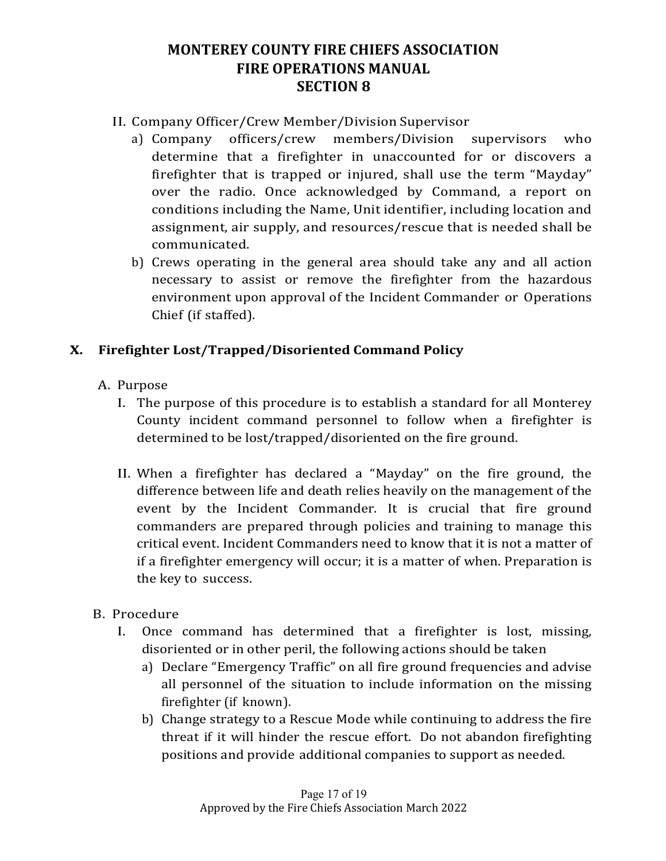- II. Company Officer/Crew Member/Division Supervisor
	- a) Company officers/crew members/Division supervisors who determine that a firefighter in unaccounted for or discovers a firefighter that is trapped or injured, shall use the term "Mayday" over the radio. Once acknowledged by Command, a report on conditions including the Name, Unit identifier, including location and assignment, air supply, and resources/rescue that is needed shall be communicated.
	- b) Crews operating in the general area should take any and all action necessary to assist or remove the firefighter from the hazardous environment upon approval of the Incident Commander or Operations Chief (if staffed).

#### **X. Firefighter Lost/Trapped/Disoriented Command Policy**

- A. Purpose
	- I. The purpose of this procedure is to establish a standard for all Monterey County incident command personnel to follow when a firefighter is determined to be lost/trapped/disoriented on the fire ground.
	- II. When a firefighter has declared a "Mayday" on the fire ground, the difference between life and death relies heavily on the management of the event by the Incident Commander. It is crucial that fire ground commanders are prepared through policies and training to manage this critical event. Incident Commanders need to know that it is not a matter of if a firefighter emergency will occur; it is a matter of when. Preparation is the key to success.
- B. Procedure
	- I. Once command has determined that a firefighter is lost, missing, disoriented or in other peril, the following actions should be taken
		- a) Declare "Emergency Traffic" on all fire ground frequencies and advise all personnel of the situation to include information on the missing firefighter (if known).
		- b) Change strategy to a Rescue Mode while continuing to address the fire threat if it will hinder the rescue effort. Do not abandon firefighting positions and provide additional companies to support as needed.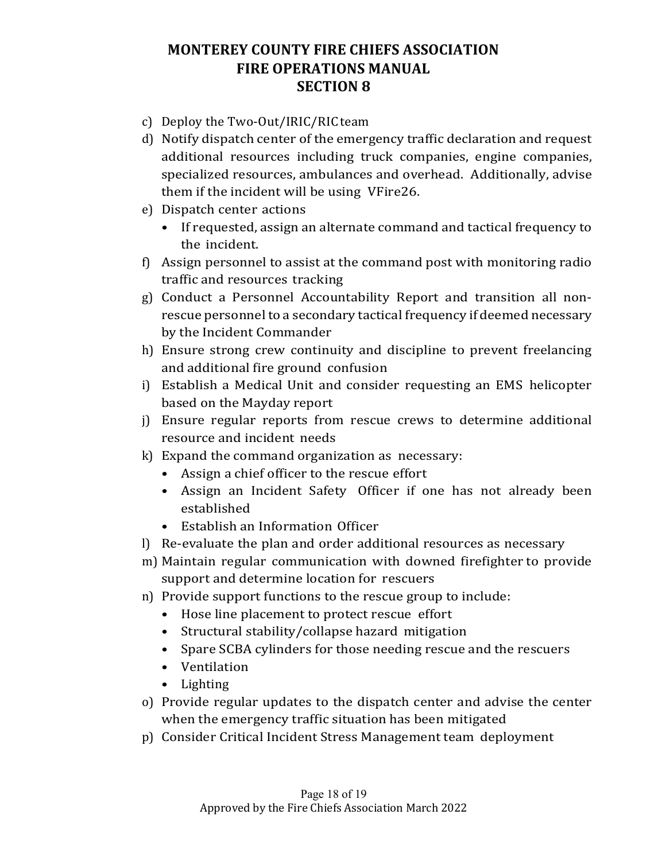- c) Deploy the Two-Out/IRIC/RIC team
- d) Notify dispatch center of the emergency traffic declaration and request additional resources including truck companies, engine companies, specialized resources, ambulances and overhead. Additionally, advise them if the incident will be using VFire26.
- e) Dispatch center actions
	- If requested, assign an alternate command and tactical frequency to the incident.
- f) Assign personnel to assist at the command post with monitoring radio traffic and resources tracking
- g) Conduct a Personnel Accountability Report and transition all nonrescue personnel to a secondary tactical frequency if deemed necessary by the Incident Commander
- h) Ensure strong crew continuity and discipline to prevent freelancing and additional fire ground confusion
- i) Establish a Medical Unit and consider requesting an EMS helicopter based on the Mayday report
- j) Ensure regular reports from rescue crews to determine additional resource and incident needs
- $k$ ) Expand the command organization as necessary:
	- Assign a chief officer to the rescue effort
	- Assign an Incident Safety Officer if one has not already been established
	- Establish an Information Officer
- l) Re-evaluate the plan and order additional resources as necessary
- m) Maintain regular communication with downed firefighter to provide support and determine location for rescuers
- n) Provide support functions to the rescue group to include:
	- Hose line placement to protect rescue effort
	- Structural stability/collapse hazard mitigation
	- Spare SCBA cylinders for those needing rescue and the rescuers
	- Ventilation
	- Lighting
- o) Provide regular updates to the dispatch center and advise the center when the emergency traffic situation has been mitigated
- p) Consider Critical Incident Stress Management team deployment